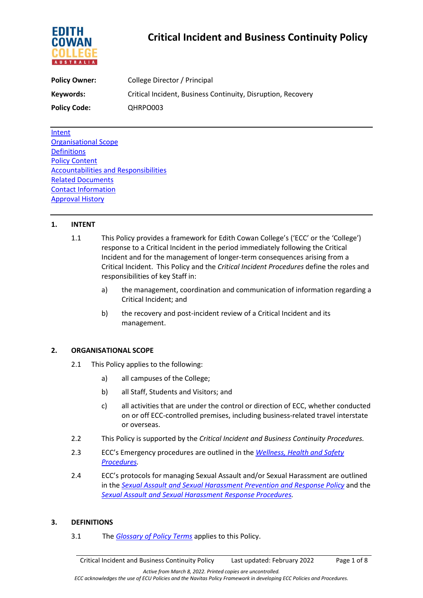

# **Critical Incident and Business Continuity Policy**

| <b>Policy Owner:</b> | College Director / Principal                                 |  |
|----------------------|--------------------------------------------------------------|--|
| Keywords:            | Critical Incident, Business Continuity, Disruption, Recovery |  |
| <b>Policy Code:</b>  | QHRPO003                                                     |  |

[Intent](file://navitas.local/UPA/ECC/Policies/ECC%20Policy%20Working%20Group%202021/Critical%20Incident/4.%20Critical%20Incident/Critical%20Incident%20Policy.docx#Intent) [Organisational Scope](file://navitas.local/UPA/ECC/Policies/ECC%20Policy%20Working%20Group%202021/Critical%20Incident/4.%20Critical%20Incident/Critical%20Incident%20Policy.docx#Scope) **[Definitions](file://navitas.local/UPA/ECC/Policies/ECC%20Policy%20Working%20Group%202021/Critical%20Incident/4.%20Critical%20Incident/Critical%20Incident%20Policy.docx#Definitions)** [Policy Content](file://navitas.local/UPA/ECC/Policies/ECC%20Policy%20Working%20Group%202021/Critical%20Incident/4.%20Critical%20Incident/Critical%20Incident%20Policy.docx#Content) [Accountabilities and Responsibilities](file://navitas.local/UPA/ECC/Policies/ECC%20Policy%20Working%20Group%202021/Critical%20Incident/4.%20Critical%20Incident/Critical%20Incident%20Policy.docx#Accountabilities) [Related Documents](file://navitas.local/UPA/ECC/Policies/ECC%20Policy%20Working%20Group%202021/Critical%20Incident/4.%20Critical%20Incident/Critical%20Incident%20Policy.docx#RelatedDocs) [Contact Information](file://navitas.local/UPA/ECC/Policies/ECC%20Policy%20Working%20Group%202021/Critical%20Incident/4.%20Critical%20Incident/Critical%20Incident%20Policy.docx#Contact) [Approval History](file://navitas.local/UPA/ECC/Policies/ECC%20Policy%20Working%20Group%202021/Critical%20Incident/4.%20Critical%20Incident/Critical%20Incident%20Policy.docx#Approvals)

## **1. INTENT**

- 1.1 This Policy provides a framework for Edith Cowan College's ('ECC' or the 'College') response to a Critical Incident in the period immediately following the Critical Incident and for the management of longer-term consequences arising from a Critical Incident. This Policy and the *Critical Incident Procedures* define the roles and responsibilities of key Staff in:
	- a) the management, coordination and communication of information regarding a Critical Incident; and
	- b) the recovery and post-incident review of a Critical Incident and its management.

## **2. ORGANISATIONAL SCOPE**

- 2.1 This Policy applies to the following:
	- a) all campuses of the College;
	- b) all Staff, Students and Visitors; and
	- c) all activities that are under the control or direction of ECC, whether conducted on or off ECC-controlled premises, including business-related travel interstate or overseas.
- 2.2 This Policy is supported by the *Critical Incident and Business Continuity Procedures.*
- 2.3 ECC's Emergency procedures are outlined in the *[Wellness, Health and Safety](https://4ba8a17f01f843446fde-df22fcb26686c8be7ff55766cd6a4144.ssl.cf6.rackcdn.com/73_Wellness_Health_and_Safety_Procedures.pdf)  [Procedures.](https://4ba8a17f01f843446fde-df22fcb26686c8be7ff55766cd6a4144.ssl.cf6.rackcdn.com/73_Wellness_Health_and_Safety_Procedures.pdf)*
- 2.4 ECC's protocols for managing Sexual Assault and/or Sexual Harassment are outlined in the *[Sexual Assault and Sexual Harassment Prevention and Response Policy](https://4ba8a17f01f843446fde-df22fcb26686c8be7ff55766cd6a4144.ssl.cf6.rackcdn.com/73_ECC_Sexual_Assault_and_Sexual_Harassment_Prevention_and_Response_Policy.pdf)* and the *[Sexual Assault and Sexual Harassment Response Procedures.](https://4ba8a17f01f843446fde-df22fcb26686c8be7ff55766cd6a4144.ssl.cf6.rackcdn.com/73_ECC_Sexual_Assault_and_Sexual_Harassment_Prevention_and_Response_Procedures.pdf)*

## **3. DEFINITIONS**

3.1 The *[Glossary of Policy Terms](https://4ba8a17f01f843446fde-df22fcb26686c8be7ff55766cd6a4144.ssl.cf6.rackcdn.com/73_ECC_Glossary_of_Policy_Terms.pdf)* applies to this Policy.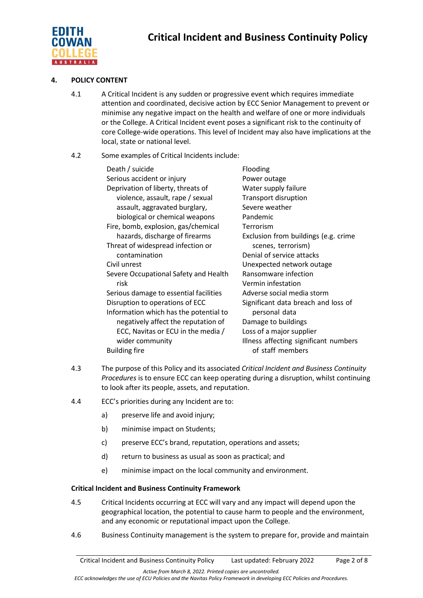

## **4. POLICY CONTENT**

4.1 A Critical Incident is any sudden or progressive event which requires immediate attention and coordinated, decisive action by ECC Senior Management to prevent or minimise any negative impact on the health and welfare of one or more individuals or the College. A Critical Incident event poses a significant risk to the continuity of core College-wide operations. This level of Incident may also have implications at the local, state or national level.

## 4.2 Some examples of Critical Incidents include:

| Death / suicide                        | Flooding                              |
|----------------------------------------|---------------------------------------|
| Serious accident or injury             | Power outage                          |
| Deprivation of liberty, threats of     | Water supply failure                  |
| violence, assault, rape / sexual       | <b>Transport disruption</b>           |
| assault, aggravated burglary,          | Severe weather                        |
| biological or chemical weapons         | Pandemic                              |
| Fire, bomb, explosion, gas/chemical    | Terrorism                             |
| hazards, discharge of firearms         | Exclusion from buildings (e.g. crime  |
| Threat of widespread infection or      | scenes, terrorism)                    |
| contamination                          | Denial of service attacks             |
| Civil unrest                           | Unexpected network outage             |
| Severe Occupational Safety and Health  | Ransomware infection                  |
| risk                                   | Vermin infestation                    |
| Serious damage to essential facilities | Adverse social media storm            |
| Disruption to operations of ECC        | Significant data breach and loss of   |
| Information which has the potential to | personal data                         |
| negatively affect the reputation of    | Damage to buildings                   |
| ECC, Navitas or ECU in the media /     | Loss of a major supplier              |
| wider community                        | Illness affecting significant numbers |
| <b>Building fire</b>                   | of staff members                      |
|                                        |                                       |

- 4.3 The purpose of this Policy and its associated *Critical Incident and Business Continuity Procedures* is to ensure ECC can keep operating during a disruption, whilst continuing to look after its people, assets, and reputation.
- 4.4 ECC's priorities during any Incident are to:
	- a) preserve life and avoid injury;
	- b) minimise impact on Students;
	- c) preserve ECC's brand, reputation, operations and assets;
	- d) return to business as usual as soon as practical; and
	- e) minimise impact on the local community and environment.

## **Critical Incident and Business Continuity Framework**

- 4.5 Critical Incidents occurring at ECC will vary and any impact will depend upon the geographical location, the potential to cause harm to people and the environment, and any economic or reputational impact upon the College.
- 4.6 Business Continuity management is the system to prepare for, provide and maintain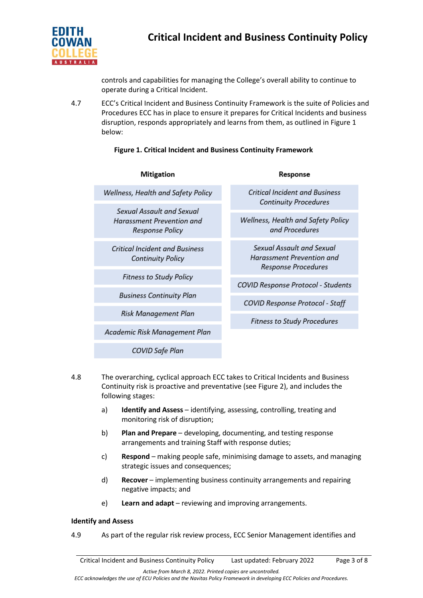

controls and capabilities for managing the College's overall ability to continue to operate during a Critical Incident.

4.7 ECC's Critical Incident and Business Continuity Framework is the suite of Policies and Procedures ECC has in place to ensure it prepares for Critical Incidents and business disruption, responds appropriately and learns from them, as outlined in Figure 1 below:

## **Figure 1. Critical Incident and Business Continuity Framework**

| <b>Mitigation</b>                                                                                   | Response                                                                             |
|-----------------------------------------------------------------------------------------------------|--------------------------------------------------------------------------------------|
| Wellness, Health and Safety Policy                                                                  | <b>Critical Incident and Business</b><br><b>Continuity Procedures</b>                |
| Sexual Assault and Sexual                                                                           |                                                                                      |
| <b>Harassment Prevention and</b><br><b>Response Policy</b>                                          | Wellness, Health and Safety Policy<br>and Procedures                                 |
| <b>Critical Incident and Business</b><br><b>Continuity Policy</b><br><b>Fitness to Study Policy</b> | Sexual Assault and Sexual<br>Harassment Prevention and<br><b>Response Procedures</b> |
|                                                                                                     |                                                                                      |
|                                                                                                     | <b>Business Continuity Plan</b>                                                      |
| Risk Management Plan                                                                                | <b>Fitness to Study Procedures</b>                                                   |
| Academic Risk Management Plan                                                                       |                                                                                      |
| COVID Safe Plan                                                                                     |                                                                                      |

- 4.8 The overarching, cyclical approach ECC takes to Critical Incidents and Business Continuity risk is proactive and preventative (see Figure 2), and includes the following stages:
	- a) **Identify and Assess** identifying, assessing, controlling, treating and monitoring risk of disruption;
	- b) **Plan and Prepare** developing, documenting, and testing response arrangements and training Staff with response duties;
	- c) **Respond** making people safe, minimising damage to assets, and managing strategic issues and consequences;
	- d) **Recover** implementing business continuity arrangements and repairing negative impacts; and
	- e) **Learn and adapt** reviewing and improving arrangements.

## **Identify and Assess**

4.9 As part of the regular risk review process, ECC Senior Management identifies and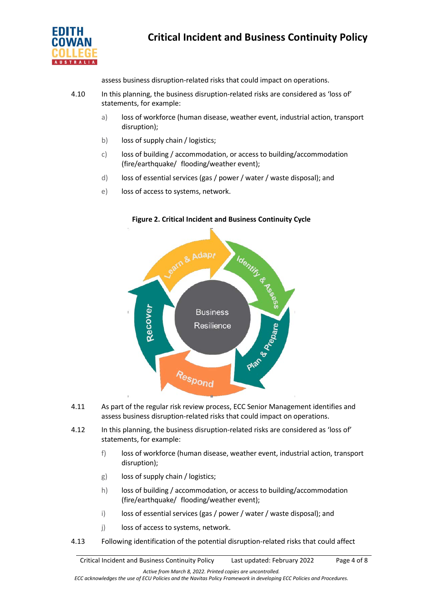

assess business disruption-related risks that could impact on operations.

- 4.10 In this planning, the business disruption-related risks are considered as 'loss of' statements, for example:
	- a) loss of workforce (human disease, weather event, industrial action, transport disruption);
	- b) loss of supply chain / logistics;
	- c) loss of building / accommodation, or access to building/accommodation (fire/earthquake/ flooding/weather event);
	- d) loss of essential services (gas / power / water / waste disposal); and
	- e) loss of access to systems, network.



## **Figure 2. Critical Incident and Business Continuity Cycle**

- 4.11 As part of the regular risk review process, ECC Senior Management identifies and assess business disruption-related risks that could impact on operations.
- 4.12 In this planning, the business disruption-related risks are considered as 'loss of' statements, for example:
	- f) loss of workforce (human disease, weather event, industrial action, transport disruption);
	- g) loss of supply chain / logistics;
	- h) loss of building / accommodation, or access to building/accommodation (fire/earthquake/ flooding/weather event);
	- i) loss of essential services (gas / power / water / waste disposal); and
	- j) loss of access to systems, network.
- 4.13 Following identification of the potential disruption-related risks that could affect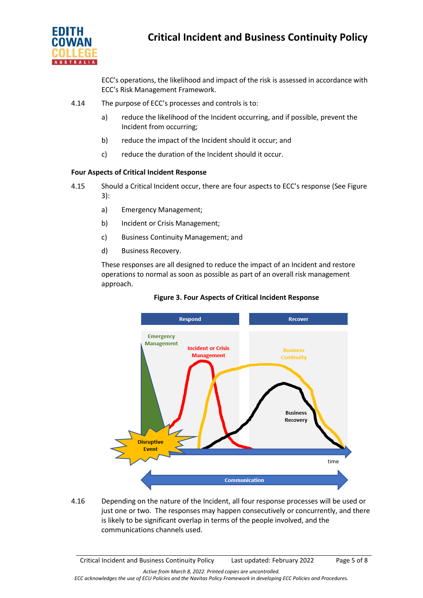

ECC's operations, the likelihood and impact of the risk is assessed in accordance with ECC's Risk Management Framework.

- 4.14 The purpose of ECC's processes and controls is to:
	- a) reduce the likelihood of the Incident occurring, and if possible, prevent the Incident from occurring;
	- b) reduce the impact of the Incident should it occur; and
	- c) reduce the duration of the Incident should it occur.

## **Four Aspects of Critical Incident Response**

- 4.15 Should a Critical Incident occur, there are four aspects to ECC's response (See Figure 3):
	- a) Emergency Management;
	- b) Incident or Crisis Management;
	- c) Business Continuity Management; and
	- d) Business Recovery.

These responses are all designed to reduce the impact of an Incident and restore operations to normal as soon as possible as part of an overall risk management approach.





4.16 Depending on the nature of the Incident, all four response processes will be used or just one or two. The responses may happen consecutively or concurrently, and there is likely to be significant overlap in terms of the people involved, and the communications channels used.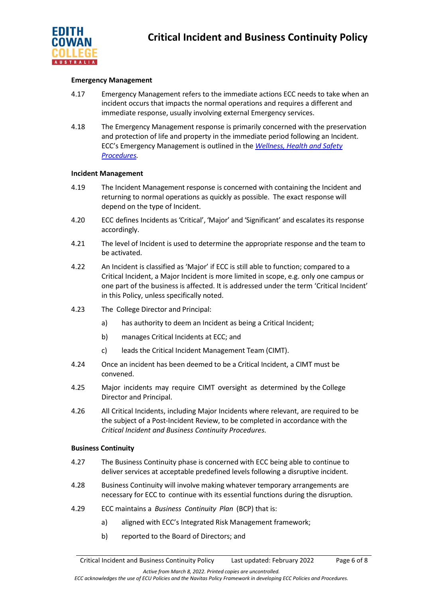

### **Emergency Management**

- 4.17 Emergency Management refers to the immediate actions ECC needs to take when an incident occurs that impacts the normal operations and requires a different and immediate response, usually involving external Emergency services.
- 4.18 The Emergency Management response is primarily concerned with the preservation and protection of life and property in the immediate period following an Incident. ECC's Emergency Management is outlined in the *[Wellness, Health and Safety](https://4ba8a17f01f843446fde-df22fcb26686c8be7ff55766cd6a4144.ssl.cf6.rackcdn.com/73_Wellness_Health_and_Safety_Procedures.pdf)  [Procedures.](https://4ba8a17f01f843446fde-df22fcb26686c8be7ff55766cd6a4144.ssl.cf6.rackcdn.com/73_Wellness_Health_and_Safety_Procedures.pdf)*

#### **Incident Management**

- 4.19 The Incident Management response is concerned with containing the Incident and returning to normal operations as quickly as possible. The exact response will depend on the type of Incident.
- 4.20 ECC defines Incidents as'Critical', 'Major' and 'Significant' and escalates its response accordingly.
- 4.21 The level of Incident is used to determine the appropriate response and the team to be activated.
- 4.22 An Incident is classified as 'Major' if ECC is still able to function; compared to a Critical Incident, a Major Incident is more limited in scope, e.g. only one campus or one part of the business is affected. It is addressed under the term 'Critical Incident' in this Policy, unless specifically noted.
- 4.23 The College Director and Principal:
	- a) has authority to deem an Incident as being a Critical Incident;
	- b) manages Critical Incidents at ECC; and
	- c) leads the Critical Incident Management Team (CIMT).
- 4.24 Once an incident has been deemed to be a Critical Incident, a CIMT must be convened.
- 4.25 Major incidents may require CIMT oversight as determined by the College Director and Principal.
- 4.26 All Critical Incidents, including Major Incidents where relevant, are required to be the subject of a Post-Incident Review, to be completed in accordance with the *Critical Incident and Business Continuity Procedures.*

## **Business Continuity**

- 4.27 The Business Continuity phase is concerned with ECC being able to continue to deliver services at acceptable predefined levels following a disruptive incident.
- 4.28 Business Continuity will involve making whatever temporary arrangements are necessary for ECC to continue with its essential functions during the disruption.
- 4.29 ECC maintains a *Business Continuity Plan* (BCP) that is:
	- a) aligned with ECC's Integrated Risk Management framework;
	- b) reported to the Board of Directors; and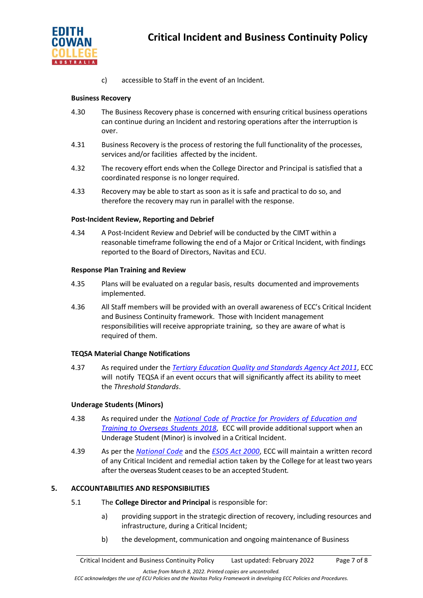

c) accessible to Staff in the event of an Incident.

## **Business Recovery**

- 4.30 The Business Recovery phase is concerned with ensuring critical business operations can continue during an Incident and restoring operations after the interruption is over.
- 4.31 Business Recovery is the process of restoring the full functionality of the processes, services and/or facilities affected by the incident.
- 4.32 The recovery effort ends when the College Director and Principal is satisfied that a coordinated response is no longer required.
- 4.33 Recovery may be able to start as soon as it is safe and practical to do so, and therefore the recovery may run in parallel with the response.

## **Post-Incident Review, Reporting and Debrief**

4.34 A Post-Incident Review and Debrief will be conducted by the CIMT within a reasonable timeframe following the end of a Major or Critical Incident, with findings reported to the Board of Directors, Navitas and ECU.

#### **Response Plan Training and Review**

- 4.35 Plans will be evaluated on a regular basis, results documented and improvements implemented.
- 4.36 All Staff members will be provided with an overall awareness of ECC's Critical Incident and Business Continuity framework. Those with Incident management responsibilities will receive appropriate training, so they are aware of what is required of them.

## **TEQSA Material Change Notifications**

4.37 As required under the *Tertiary Education Quality and [Standards](https://www.teqsa.gov.au/teqsa-act) Agency Act 2011*, ECC will notify TEQSA if an event occurs that will significantly affect its ability to meet the *Threshold Standards*.

## **Underage Students (Minors)**

- 4.38 As required under the *National Code of Practice for Providers of [Education](https://www.legislation.gov.au/Details/F2017L01182) and Training to [Overseas](https://www.legislation.gov.au/Details/F2017L01182) Students 2018*, ECC will provide additional support when an Underage Student (Minor) is involved in a Critical Incident.
- 4.39 As per the *[National Code](https://www.legislation.gov.au/Details/F2017L01182)* and the *[ESOS Act](https://www.legislation.gov.au/Details/C2017C00292) 2000*, ECC will maintain a written record of any Critical Incident and remedial action taken by the College for at least two years after the overseas Student ceasesto be an accepted Student*.*

## **5. ACCOUNTABILITIES AND RESPONSIBILITIES**

- 5.1 The **College Director and Principal** is responsible for:
	- a) providing support in the strategic direction of recovery, including resources and infrastructure, during a Critical Incident;
	- b) the development, communication and ongoing maintenance of Business